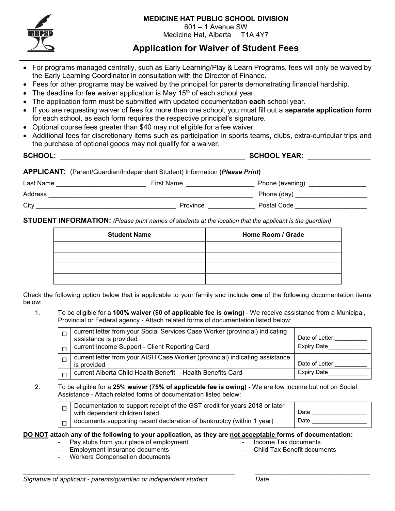

## **MEDICINE HAT PUBLIC SCHOOL DIVISION**

601 – 1 Avenue SW

Medicine Hat, Alberta T1A 4Y7

## **Application for Waiver of Student Fees**

- For programs managed centrally, such as Early Learning/Play & Learn Programs, fees will only be waived by the Early Learning Coordinator in consultation with the Director of Finance.
- Fees for other programs may be waived by the principal for parents demonstrating financial hardship.
- The deadline for fee waiver application is May  $15<sup>th</sup>$  of each school year.
- The application form must be submitted with updated documentation **each** school year.
- If you are requesting waiver of fees for more than one school, you must fill out a **separate application form** for each school, as each form requires the respective principal's signature.
- Optional course fees greater than \$40 may not eligible for a fee waiver.
- Additional fees for discretionary items such as participation in sports teams, clubs, extra-curricular trips and the purchase of optional goods may not qualify for a waiver.

| <b>SCHOOL:</b> |                                                                             | <b>SCHOOL YEAR:</b>                    |  |
|----------------|-----------------------------------------------------------------------------|----------------------------------------|--|
|                | APPLICANT: (Parent/Guardian/Independent Student) Information (Please Print) |                                        |  |
| Last Name      | First Name<br>and the contract of the contract of the contract of           | Phone (evening) <b>Phone</b> (evening) |  |
| <b>Address</b> |                                                                             | Phone (day) __________________         |  |
| City           | Province                                                                    | Postal Code                            |  |

**STUDENT INFORMATION:** *(Please print names of students at the location that the applicant is the guardian)*

| <b>Student Name</b> | Home Room / Grade |
|---------------------|-------------------|
|                     |                   |
|                     |                   |
|                     |                   |
|                     |                   |

Check the following option below that is applicable to your family and include **one** of the following documentation items below:

1. To be eligible for a **100% waiver (\$0 of applicable fee is owing)** - We receive assistance from a Municipal, Provincial or Federal agency - Attach related forms of documentation listed below:

| current letter from your Social Services Case Worker (provincial) indicating<br>assistance is provided | Date of Letter:    |
|--------------------------------------------------------------------------------------------------------|--------------------|
| current Income Support - Client Reporting Card                                                         | <b>Expiry Date</b> |
| current letter from your AISH Case Worker (provincial) indicating assistance<br>is provided            | Date of Letter:    |
| current Alberta Child Health Benefit - Health Benefits Card                                            | <b>Expiry Date</b> |

2. To be eligible for a **25% waiver (75% of applicable fee is owing)** - We are low income but not on Social Assistance - Attach related forms of documentation listed below:

| $\Box$ Documentation to support receipt of the GST credit for years 2018 or later<br>with dependent children listed. | Date |
|----------------------------------------------------------------------------------------------------------------------|------|
| documents supporting recent declaration of bankruptcy (within 1 year)                                                | Date |

## **DO NOT attach any of the following to your application, as they are not acceptable forms of documentation:**

- Pay stubs from your place of employment
- Employment Insurance documents

- Income Tax documents

- Workers Compensation documents

- Child Tax Benefit documents